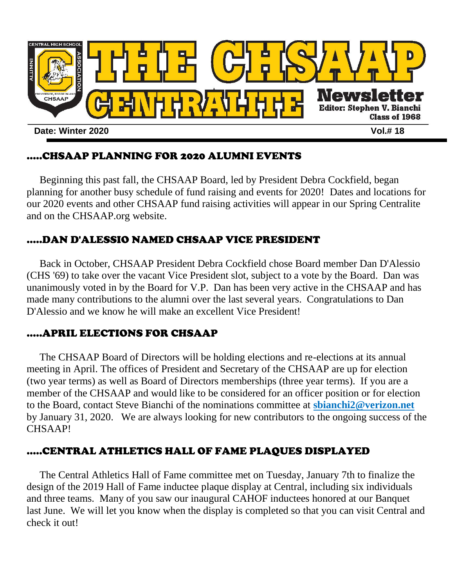

# .....CHSAAP PLANNING FOR 2020 ALUMNI EVENTS

 Beginning this past fall, the CHSAAP Board, led by President Debra Cockfield, began planning for another busy schedule of fund raising and events for 2020! Dates and locations for our 2020 events and other CHSAAP fund raising activities will appear in our Spring Centralite and on the CHSAAP.org website.

# .....DAN D'ALESSIO NAMED CHSAAP VICE PRESIDENT

 Back in October, CHSAAP President Debra Cockfield chose Board member Dan D'Alessio (CHS '69) to take over the vacant Vice President slot, subject to a vote by the Board. Dan was unanimously voted in by the Board for V.P. Dan has been very active in the CHSAAP and has made many contributions to the alumni over the last several years. Congratulations to Dan D'Alessio and we know he will make an excellent Vice President!

## .....APRIL ELECTIONS FOR CHSAAP

 The CHSAAP Board of Directors will be holding elections and re-elections at its annual meeting in April. The offices of President and Secretary of the CHSAAP are up for election (two year terms) as well as Board of Directors memberships (three year terms). If you are a member of the CHSAAP and would like to be considered for an officer position or for election to the Board, contact Steve Bianchi of the nominations committee at **sbianchi2@verizon.net** by January 31, 2020. We are always looking for new contributors to the ongoing success of the CHSAAP!

## .....CENTRAL ATHLETICS HALL OF FAME PLAQUES DISPLAYED

 The Central Athletics Hall of Fame committee met on Tuesday, January 7th to finalize the design of the 2019 Hall of Fame inductee plaque display at Central, including six individuals and three teams. Many of you saw our inaugural CAHOF inductees honored at our Banquet last June. We will let you know when the display is completed so that you can visit Central and check it out!